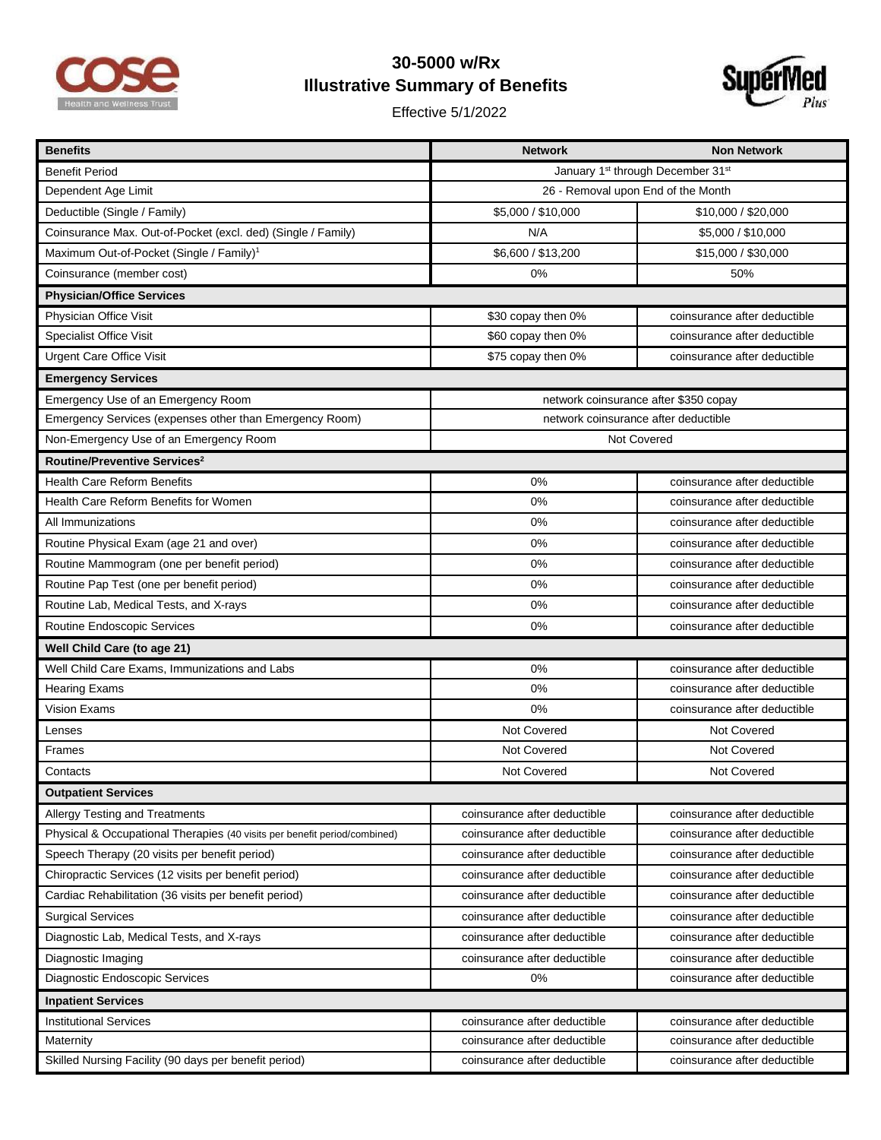

## **30-5000 w/Rx Illustrative Summary of Benefits**

Effective 5/1/2022



| <b>Benefits</b>                                                           | <b>Network</b>                                            | <b>Non Network</b>           |  |
|---------------------------------------------------------------------------|-----------------------------------------------------------|------------------------------|--|
| <b>Benefit Period</b>                                                     | January 1 <sup>st</sup> through December 31 <sup>st</sup> |                              |  |
| Dependent Age Limit                                                       | 26 - Removal upon End of the Month                        |                              |  |
| Deductible (Single / Family)                                              | \$5,000 / \$10,000                                        | \$10,000 / \$20,000          |  |
| Coinsurance Max. Out-of-Pocket (excl. ded) (Single / Family)              | N/A                                                       | \$5,000 / \$10,000           |  |
| Maximum Out-of-Pocket (Single / Family) <sup>1</sup>                      | \$6,600 / \$13,200                                        | \$15,000 / \$30,000          |  |
| Coinsurance (member cost)                                                 | 0%                                                        | 50%                          |  |
| <b>Physician/Office Services</b>                                          |                                                           |                              |  |
| Physician Office Visit                                                    | \$30 copay then 0%                                        | coinsurance after deductible |  |
| <b>Specialist Office Visit</b>                                            | \$60 copay then 0%                                        | coinsurance after deductible |  |
| <b>Urgent Care Office Visit</b>                                           | \$75 copay then 0%                                        | coinsurance after deductible |  |
| <b>Emergency Services</b>                                                 |                                                           |                              |  |
| Emergency Use of an Emergency Room                                        | network coinsurance after \$350 copay                     |                              |  |
| Emergency Services (expenses other than Emergency Room)                   | network coinsurance after deductible                      |                              |  |
| Non-Emergency Use of an Emergency Room                                    | Not Covered                                               |                              |  |
| Routine/Preventive Services <sup>2</sup>                                  |                                                           |                              |  |
| <b>Health Care Reform Benefits</b>                                        | 0%                                                        | coinsurance after deductible |  |
| Health Care Reform Benefits for Women                                     | 0%                                                        | coinsurance after deductible |  |
| All Immunizations                                                         | 0%                                                        | coinsurance after deductible |  |
| Routine Physical Exam (age 21 and over)                                   | 0%                                                        | coinsurance after deductible |  |
| Routine Mammogram (one per benefit period)                                | 0%                                                        | coinsurance after deductible |  |
| Routine Pap Test (one per benefit period)                                 | 0%                                                        | coinsurance after deductible |  |
| Routine Lab, Medical Tests, and X-rays                                    | 0%                                                        | coinsurance after deductible |  |
| Routine Endoscopic Services                                               | 0%                                                        | coinsurance after deductible |  |
| Well Child Care (to age 21)                                               |                                                           |                              |  |
| Well Child Care Exams, Immunizations and Labs                             | 0%                                                        | coinsurance after deductible |  |
| <b>Hearing Exams</b>                                                      | 0%                                                        | coinsurance after deductible |  |
| Vision Exams                                                              | 0%                                                        | coinsurance after deductible |  |
| Lenses                                                                    | Not Covered                                               | Not Covered                  |  |
| <b>Frames</b>                                                             | Not Covered                                               | Not Covered                  |  |
| Contacts                                                                  | Not Covered                                               | Not Covered                  |  |
| Outpatient Services                                                       |                                                           |                              |  |
| <b>Allergy Testing and Treatments</b>                                     | coinsurance after deductible                              | coinsurance after deductible |  |
| Physical & Occupational Therapies (40 visits per benefit period/combined) | coinsurance after deductible                              | coinsurance after deductible |  |
| Speech Therapy (20 visits per benefit period)                             | coinsurance after deductible                              | coinsurance after deductible |  |
| Chiropractic Services (12 visits per benefit period)                      | coinsurance after deductible                              | coinsurance after deductible |  |
| Cardiac Rehabilitation (36 visits per benefit period)                     | coinsurance after deductible                              | coinsurance after deductible |  |
| <b>Surgical Services</b>                                                  | coinsurance after deductible                              | coinsurance after deductible |  |
| Diagnostic Lab, Medical Tests, and X-rays                                 | coinsurance after deductible                              | coinsurance after deductible |  |
| Diagnostic Imaging                                                        | coinsurance after deductible                              | coinsurance after deductible |  |
| Diagnostic Endoscopic Services                                            | 0%                                                        | coinsurance after deductible |  |
| <b>Inpatient Services</b>                                                 |                                                           |                              |  |
| <b>Institutional Services</b>                                             | coinsurance after deductible                              | coinsurance after deductible |  |
| Maternity                                                                 | coinsurance after deductible                              | coinsurance after deductible |  |
| Skilled Nursing Facility (90 days per benefit period)                     | coinsurance after deductible                              | coinsurance after deductible |  |